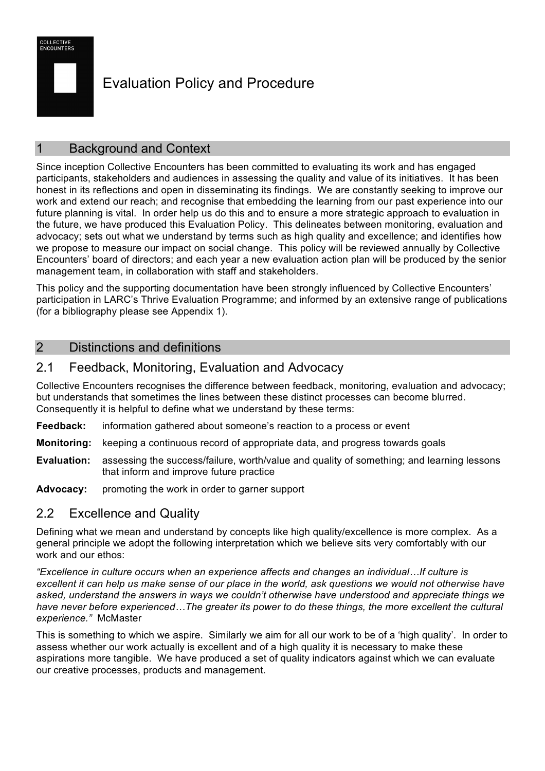

# Evaluation Policy and Procedure

## **Background and Context**

Since inception Collective Encounters has been committed to evaluating its work and has engaged participants, stakeholders and audiences in assessing the quality and value of its initiatives. It has been honest in its reflections and open in disseminating its findings. We are constantly seeking to improve our work and extend our reach; and recognise that embedding the learning from our past experience into our future planning is vital. In order help us do this and to ensure a more strategic approach to evaluation in the future, we have produced this Evaluation Policy. This delineates between monitoring, evaluation and advocacy; sets out what we understand by terms such as high quality and excellence; and identifies how we propose to measure our impact on social change. This policy will be reviewed annually by Collective Encounters' board of directors; and each year a new evaluation action plan will be produced by the senior management team, in collaboration with staff and stakeholders.

This policy and the supporting documentation have been strongly influenced by Collective Encounters' participation in LARC's Thrive Evaluation Programme; and informed by an extensive range of publications (for a bibliography please see Appendix 1).

#### 2 Distinctions and definitions

#### 2.1 Feedback, Monitoring, Evaluation and Advocacy

Collective Encounters recognises the difference between feedback, monitoring, evaluation and advocacy; but understands that sometimes the lines between these distinct processes can become blurred. Consequently it is helpful to define what we understand by these terms:

- **Feedback:** information gathered about someone's reaction to a process or event
- **Monitoring:** keeping a continuous record of appropriate data, and progress towards goals
- **Evaluation:** assessing the success/failure, worth/value and quality of something; and learning lessons that inform and improve future practice
- Advocacy: promoting the work in order to garner support

## 2.2 Excellence and Quality

Defining what we mean and understand by concepts like high quality/excellence is more complex. As a general principle we adopt the following interpretation which we believe sits very comfortably with our work and our ethos:

*"Excellence in culture occurs when an experience affects and changes an individual…If culture is excellent it can help us make sense of our place in the world, ask questions we would not otherwise have asked, understand the answers in ways we couldn't otherwise have understood and appreciate things we*  have never before experienced...The greater its power to do these things, the more excellent the cultural *experience."* McMaster

This is something to which we aspire. Similarly we aim for all our work to be of a 'high quality'. In order to assess whether our work actually is excellent and of a high quality it is necessary to make these aspirations more tangible. We have produced a set of quality indicators against which we can evaluate our creative processes, products and management.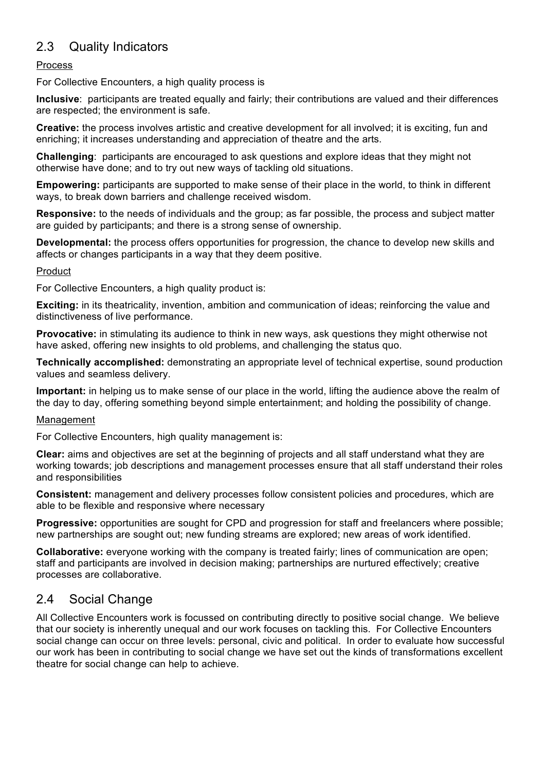## 2.3 Quality Indicators

#### Process

For Collective Encounters, a high quality process is

**Inclusive**: participants are treated equally and fairly; their contributions are valued and their differences are respected; the environment is safe.

**Creative:** the process involves artistic and creative development for all involved; it is exciting, fun and enriching; it increases understanding and appreciation of theatre and the arts.

**Challenging**: participants are encouraged to ask questions and explore ideas that they might not otherwise have done; and to try out new ways of tackling old situations.

**Empowering:** participants are supported to make sense of their place in the world, to think in different ways, to break down barriers and challenge received wisdom.

**Responsive:** to the needs of individuals and the group; as far possible, the process and subject matter are guided by participants; and there is a strong sense of ownership.

**Developmental:** the process offers opportunities for progression, the chance to develop new skills and affects or changes participants in a way that they deem positive.

#### Product

For Collective Encounters, a high quality product is:

**Exciting:** in its theatricality, invention, ambition and communication of ideas; reinforcing the value and distinctiveness of live performance.

**Provocative:** in stimulating its audience to think in new ways, ask questions they might otherwise not have asked, offering new insights to old problems, and challenging the status quo.

**Technically accomplished:** demonstrating an appropriate level of technical expertise, sound production values and seamless delivery.

**Important:** in helping us to make sense of our place in the world, lifting the audience above the realm of the day to day, offering something beyond simple entertainment; and holding the possibility of change.

#### Management

For Collective Encounters, high quality management is:

**Clear:** aims and objectives are set at the beginning of projects and all staff understand what they are working towards; job descriptions and management processes ensure that all staff understand their roles and responsibilities

**Consistent:** management and delivery processes follow consistent policies and procedures, which are able to be flexible and responsive where necessary

**Progressive:** opportunities are sought for CPD and progression for staff and freelancers where possible; new partnerships are sought out; new funding streams are explored; new areas of work identified.

**Collaborative:** everyone working with the company is treated fairly; lines of communication are open; staff and participants are involved in decision making; partnerships are nurtured effectively; creative processes are collaborative.

## 2.4 Social Change

All Collective Encounters work is focussed on contributing directly to positive social change. We believe that our society is inherently unequal and our work focuses on tackling this. For Collective Encounters social change can occur on three levels: personal, civic and political. In order to evaluate how successful our work has been in contributing to social change we have set out the kinds of transformations excellent theatre for social change can help to achieve.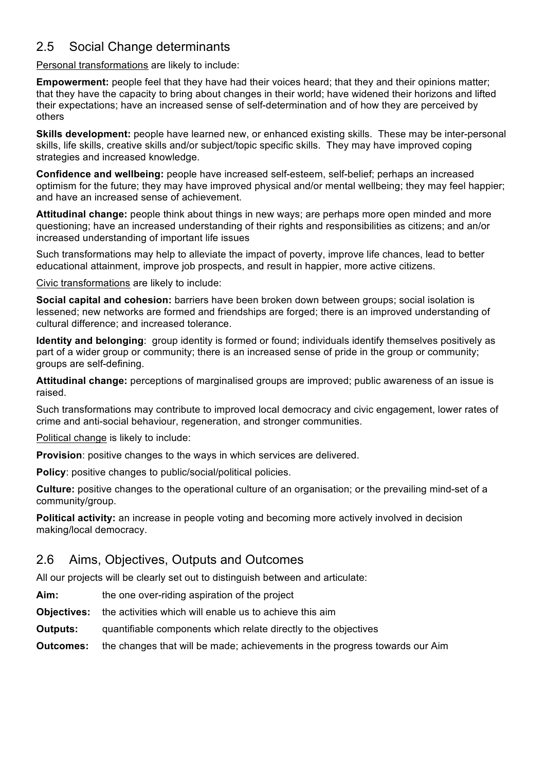## 2.5 Social Change determinants

Personal transformations are likely to include:

**Empowerment:** people feel that they have had their voices heard; that they and their opinions matter; that they have the capacity to bring about changes in their world; have widened their horizons and lifted their expectations; have an increased sense of self-determination and of how they are perceived by others

**Skills development:** people have learned new, or enhanced existing skills. These may be inter-personal skills, life skills, creative skills and/or subject/topic specific skills. They may have improved coping strategies and increased knowledge.

**Confidence and wellbeing:** people have increased self-esteem, self-belief; perhaps an increased optimism for the future; they may have improved physical and/or mental wellbeing; they may feel happier; and have an increased sense of achievement.

**Attitudinal change:** people think about things in new ways; are perhaps more open minded and more questioning; have an increased understanding of their rights and responsibilities as citizens; and an/or increased understanding of important life issues

Such transformations may help to alleviate the impact of poverty, improve life chances, lead to better educational attainment, improve job prospects, and result in happier, more active citizens.

Civic transformations are likely to include:

**Social capital and cohesion:** barriers have been broken down between groups; social isolation is lessened; new networks are formed and friendships are forged; there is an improved understanding of cultural difference; and increased tolerance.

**Identity and belonging**: group identity is formed or found; individuals identify themselves positively as part of a wider group or community; there is an increased sense of pride in the group or community; groups are self-defining.

**Attitudinal change:** perceptions of marginalised groups are improved; public awareness of an issue is raised.

Such transformations may contribute to improved local democracy and civic engagement, lower rates of crime and anti-social behaviour, regeneration, and stronger communities.

Political change is likely to include:

**Provision**: positive changes to the ways in which services are delivered.

**Policy**: positive changes to public/social/political policies.

**Culture:** positive changes to the operational culture of an organisation; or the prevailing mind-set of a community/group.

**Political activity:** an increase in people voting and becoming more actively involved in decision making/local democracy.

#### 2.6 Aims, Objectives, Outputs and Outcomes

All our projects will be clearly set out to distinguish between and articulate:

- **Aim:** the one over-riding aspiration of the project
- **Objectives:** the activities which will enable us to achieve this aim
- **Outputs:** quantifiable components which relate directly to the objectives

**Outcomes:** the changes that will be made; achievements in the progress towards our Aim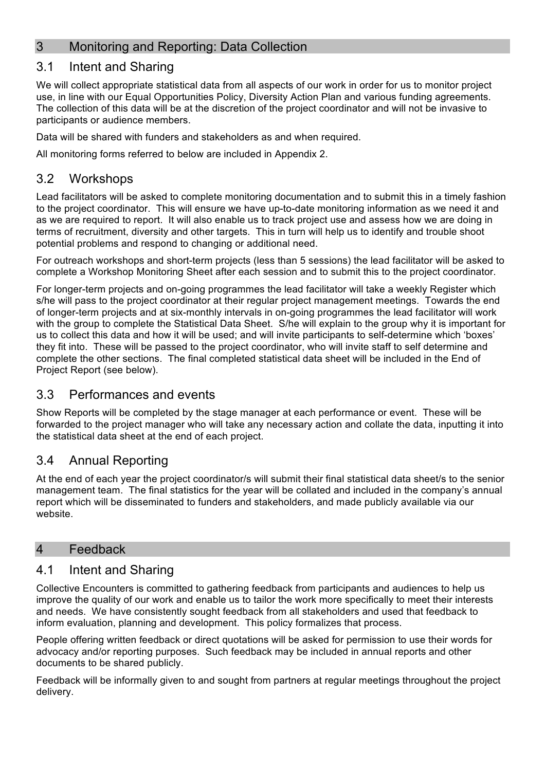## 3 Monitoring and Reporting: Data Collection

## 3.1 Intent and Sharing

We will collect appropriate statistical data from all aspects of our work in order for us to monitor project use, in line with our Equal Opportunities Policy, Diversity Action Plan and various funding agreements. The collection of this data will be at the discretion of the project coordinator and will not be invasive to participants or audience members.

Data will be shared with funders and stakeholders as and when required.

All monitoring forms referred to below are included in Appendix 2.

## 3.2 Workshops

Lead facilitators will be asked to complete monitoring documentation and to submit this in a timely fashion to the project coordinator. This will ensure we have up-to-date monitoring information as we need it and as we are required to report. It will also enable us to track project use and assess how we are doing in terms of recruitment, diversity and other targets. This in turn will help us to identify and trouble shoot potential problems and respond to changing or additional need.

For outreach workshops and short-term projects (less than 5 sessions) the lead facilitator will be asked to complete a Workshop Monitoring Sheet after each session and to submit this to the project coordinator.

For longer-term projects and on-going programmes the lead facilitator will take a weekly Register which s/he will pass to the project coordinator at their regular project management meetings. Towards the end of longer-term projects and at six-monthly intervals in on-going programmes the lead facilitator will work with the group to complete the Statistical Data Sheet. S/he will explain to the group why it is important for us to collect this data and how it will be used; and will invite participants to self-determine which 'boxes' they fit into. These will be passed to the project coordinator, who will invite staff to self determine and complete the other sections. The final completed statistical data sheet will be included in the End of Project Report (see below).

#### 3.3 Performances and events

Show Reports will be completed by the stage manager at each performance or event. These will be forwarded to the project manager who will take any necessary action and collate the data, inputting it into the statistical data sheet at the end of each project.

## 3.4 Annual Reporting

At the end of each year the project coordinator/s will submit their final statistical data sheet/s to the senior management team. The final statistics for the year will be collated and included in the company's annual report which will be disseminated to funders and stakeholders, and made publicly available via our website.

#### 4 Feedback

#### 4.1 Intent and Sharing

Collective Encounters is committed to gathering feedback from participants and audiences to help us improve the quality of our work and enable us to tailor the work more specifically to meet their interests and needs. We have consistently sought feedback from all stakeholders and used that feedback to inform evaluation, planning and development. This policy formalizes that process.

People offering written feedback or direct quotations will be asked for permission to use their words for advocacy and/or reporting purposes. Such feedback may be included in annual reports and other documents to be shared publicly.

Feedback will be informally given to and sought from partners at regular meetings throughout the project delivery.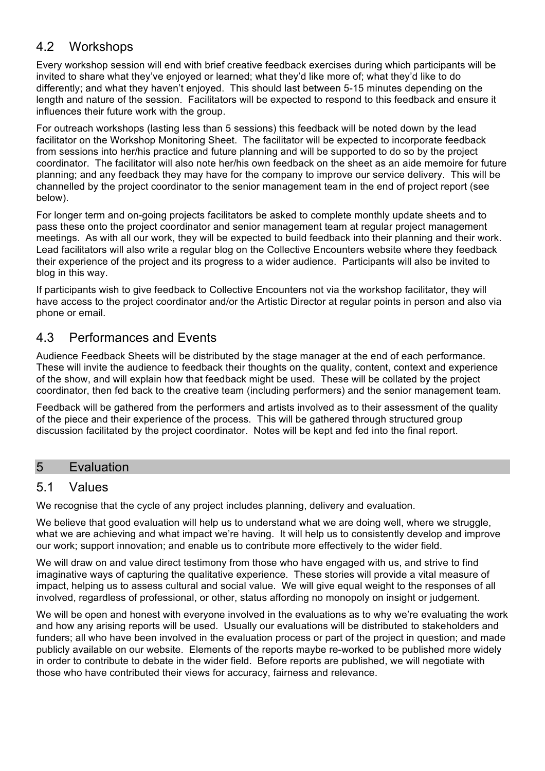## 4.2 Workshops

Every workshop session will end with brief creative feedback exercises during which participants will be invited to share what they've enjoyed or learned; what they'd like more of; what they'd like to do differently; and what they haven't enjoyed. This should last between 5-15 minutes depending on the length and nature of the session. Facilitators will be expected to respond to this feedback and ensure it influences their future work with the group.

For outreach workshops (lasting less than 5 sessions) this feedback will be noted down by the lead facilitator on the Workshop Monitoring Sheet. The facilitator will be expected to incorporate feedback from sessions into her/his practice and future planning and will be supported to do so by the project coordinator. The facilitator will also note her/his own feedback on the sheet as an aide memoire for future planning; and any feedback they may have for the company to improve our service delivery. This will be channelled by the project coordinator to the senior management team in the end of project report (see below).

For longer term and on-going projects facilitators be asked to complete monthly update sheets and to pass these onto the project coordinator and senior management team at regular project management meetings. As with all our work, they will be expected to build feedback into their planning and their work. Lead facilitators will also write a regular blog on the Collective Encounters website where they feedback their experience of the project and its progress to a wider audience. Participants will also be invited to blog in this way.

If participants wish to give feedback to Collective Encounters not via the workshop facilitator, they will have access to the project coordinator and/or the Artistic Director at regular points in person and also via phone or email.

#### 4.3 Performances and Events

Audience Feedback Sheets will be distributed by the stage manager at the end of each performance. These will invite the audience to feedback their thoughts on the quality, content, context and experience of the show, and will explain how that feedback might be used. These will be collated by the project coordinator, then fed back to the creative team (including performers) and the senior management team.

Feedback will be gathered from the performers and artists involved as to their assessment of the quality of the piece and their experience of the process. This will be gathered through structured group discussion facilitated by the project coordinator. Notes will be kept and fed into the final report.

#### 5 Evaluation

#### 5.1 Values

We recognise that the cycle of any project includes planning, delivery and evaluation.

We believe that good evaluation will help us to understand what we are doing well, where we struggle, what we are achieving and what impact we're having. It will help us to consistently develop and improve our work; support innovation; and enable us to contribute more effectively to the wider field.

We will draw on and value direct testimony from those who have engaged with us, and strive to find imaginative ways of capturing the qualitative experience. These stories will provide a vital measure of impact, helping us to assess cultural and social value. We will give equal weight to the responses of all involved, regardless of professional, or other, status affording no monopoly on insight or judgement.

We will be open and honest with everyone involved in the evaluations as to why we're evaluating the work and how any arising reports will be used. Usually our evaluations will be distributed to stakeholders and funders; all who have been involved in the evaluation process or part of the project in question; and made publicly available on our website. Elements of the reports maybe re-worked to be published more widely in order to contribute to debate in the wider field. Before reports are published, we will negotiate with those who have contributed their views for accuracy, fairness and relevance.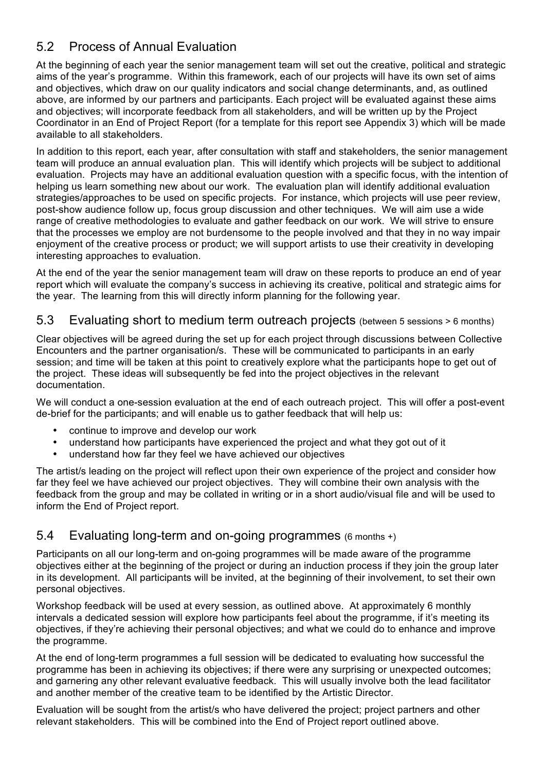## 5.2 Process of Annual Evaluation

At the beginning of each year the senior management team will set out the creative, political and strategic aims of the year's programme. Within this framework, each of our projects will have its own set of aims and objectives, which draw on our quality indicators and social change determinants, and, as outlined above, are informed by our partners and participants. Each project will be evaluated against these aims and objectives; will incorporate feedback from all stakeholders, and will be written up by the Project Coordinator in an End of Project Report (for a template for this report see Appendix 3) which will be made available to all stakeholders.

In addition to this report, each year, after consultation with staff and stakeholders, the senior management team will produce an annual evaluation plan. This will identify which projects will be subject to additional evaluation. Projects may have an additional evaluation question with a specific focus, with the intention of helping us learn something new about our work. The evaluation plan will identify additional evaluation strategies/approaches to be used on specific projects. For instance, which projects will use peer review, post-show audience follow up, focus group discussion and other techniques. We will aim use a wide range of creative methodologies to evaluate and gather feedback on our work. We will strive to ensure that the processes we employ are not burdensome to the people involved and that they in no way impair enjoyment of the creative process or product; we will support artists to use their creativity in developing interesting approaches to evaluation.

At the end of the year the senior management team will draw on these reports to produce an end of year report which will evaluate the company's success in achieving its creative, political and strategic aims for the year. The learning from this will directly inform planning for the following year.

#### 5.3 Evaluating short to medium term outreach projects (between 5 sessions > 6 months)

Clear objectives will be agreed during the set up for each project through discussions between Collective Encounters and the partner organisation/s. These will be communicated to participants in an early session; and time will be taken at this point to creatively explore what the participants hope to get out of the project. These ideas will subsequently be fed into the project objectives in the relevant documentation.

We will conduct a one-session evaluation at the end of each outreach project. This will offer a post-event de-brief for the participants; and will enable us to gather feedback that will help us:

- continue to improve and develop our work
- understand how participants have experienced the project and what they got out of it<br>• understand how far they feel we have achieved our objectives
- understand how far they feel we have achieved our objectives

The artist/s leading on the project will reflect upon their own experience of the project and consider how far they feel we have achieved our project objectives. They will combine their own analysis with the feedback from the group and may be collated in writing or in a short audio/visual file and will be used to inform the End of Project report.

#### 5.4 Evaluating long-term and on-going programmes (6 months +)

Participants on all our long-term and on-going programmes will be made aware of the programme objectives either at the beginning of the project or during an induction process if they join the group later in its development. All participants will be invited, at the beginning of their involvement, to set their own personal objectives.

Workshop feedback will be used at every session, as outlined above. At approximately 6 monthly intervals a dedicated session will explore how participants feel about the programme, if it's meeting its objectives, if they're achieving their personal objectives; and what we could do to enhance and improve the programme.

At the end of long-term programmes a full session will be dedicated to evaluating how successful the programme has been in achieving its objectives; if there were any surprising or unexpected outcomes; and garnering any other relevant evaluative feedback. This will usually involve both the lead facilitator and another member of the creative team to be identified by the Artistic Director.

Evaluation will be sought from the artist/s who have delivered the project; project partners and other relevant stakeholders. This will be combined into the End of Project report outlined above.